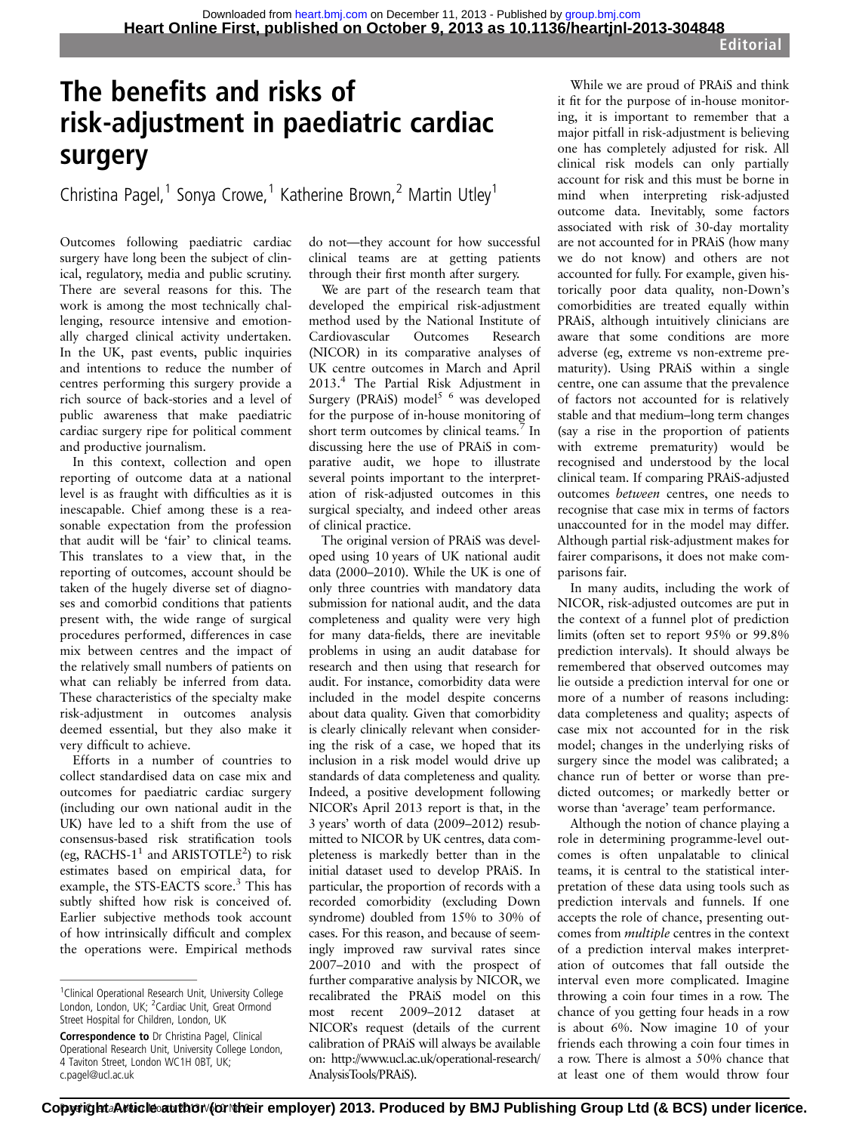## The benefits and risks of risk-adjustment in paediatric cardiac surgery

Christina Pagel,<sup>1</sup> Sonya Crowe,<sup>1</sup> Katherine Brown,<sup>2</sup> Martin Utley<sup>1</sup>

Outcomes following paediatric cardiac surgery have long been the subject of clinical, regulatory, media and public scrutiny. There are several reasons for this. The work is among the most technically challenging, resource intensive and emotionally charged clinical activity undertaken. In the UK, past events, public inquiries and intentions to reduce the number of centres performing this surgery provide a rich source of back-stories and a level of public awareness that make paediatric cardiac surgery ripe for political comment and productive journalism.

In this context, collection and open reporting of outcome data at a national level is as fraught with difficulties as it is inescapable. Chief among these is a reasonable expectation from the profession that audit will be 'fair' to clinical teams. This translates to a view that, in the reporting of outcomes, account should be taken of the hugely diverse set of diagnoses and comorbid conditions that patients present with, the wide range of surgical procedures performed, differences in case mix between centres and the impact of the relatively small numbers of patients on what can reliably be inferred from data. These characteristics of the specialty make risk-adjustment in outcomes analysis deemed essential, but they also make it very difficult to achieve.

Efforts in a number of countries to collect standardised data on case mix and outcomes for paediatric cardiac surgery (including our own national audit in the UK) have led to a shift from the use of consensus-based risk stratification tools (eg, RACHS- $1^1$  and ARISTOTLE<sup>2</sup>) to risk estimates based on empirical data, for example, the STS-EACTS score.<sup>3</sup> This has subtly shifted how risk is conceived of. Earlier subjective methods took account of how intrinsically difficult and complex the operations were. Empirical methods

do not—they account for how successful clinical teams are at getting patients through their first month after surgery.

We are part of the research team that developed the empirical risk-adjustment method used by the National Institute of Cardiovascular Outcomes Research (NICOR) in its comparative analyses of UK centre outcomes in March and April 2013.4 The Partial Risk Adjustment in Surgery (PRAiS) model<sup>5 6</sup> was developed for the purpose of in-house monitoring of short term outcomes by clinical teams.<sup>7</sup> In discussing here the use of PRAiS in comparative audit, we hope to illustrate several points important to the interpretation of risk-adjusted outcomes in this surgical specialty, and indeed other areas of clinical practice.

The original version of PRAiS was developed using 10 years of UK national audit data (2000–2010). While the UK is one of only three countries with mandatory data submission for national audit, and the data completeness and quality were very high for many data-fields, there are inevitable problems in using an audit database for research and then using that research for audit. For instance, comorbidity data were included in the model despite concerns about data quality. Given that comorbidity is clearly clinically relevant when considering the risk of a case, we hoped that its inclusion in a risk model would drive up standards of data completeness and quality. Indeed, a positive development following NICOR's April 2013 report is that, in the 3 years' worth of data (2009–2012) resubmitted to NICOR by UK centres, data completeness is markedly better than in the initial dataset used to develop PRAiS. In particular, the proportion of records with a recorded comorbidity (excluding Down syndrome) doubled from 15% to 30% of cases. For this reason, and because of seemingly improved raw survival rates since 2007–2010 and with the prospect of further comparative analysis by NICOR, we recalibrated the PRAiS model on this most recent 2009–2012 dataset at NICOR's request (details of the current calibration of PRAiS will always be available on: [http://www.ucl.ac.uk/operational-research/](http://www.ucl.ac.uk/operational-research/AnalysisTools/PRAiS) [AnalysisTools/PRAiS\)](http://www.ucl.ac.uk/operational-research/AnalysisTools/PRAiS).

While we are proud of PRAiS and think it fit for the purpose of in-house monitoring, it is important to remember that a major pitfall in risk-adjustment is believing one has completely adjusted for risk. All clinical risk models can only partially account for risk and this must be borne in mind when interpreting risk-adjusted outcome data. Inevitably, some factors associated with risk of 30-day mortality are not accounted for in PRAiS (how many we do not know) and others are not accounted for fully. For example, given historically poor data quality, non-Down's comorbidities are treated equally within PRAiS, although intuitively clinicians are aware that some conditions are more adverse (eg, extreme vs non-extreme prematurity). Using PRAiS within a single centre, one can assume that the prevalence of factors not accounted for is relatively stable and that medium–long term changes (say a rise in the proportion of patients with extreme prematurity) would be recognised and understood by the local clinical team. If comparing PRAiS-adjusted outcomes between centres, one needs to recognise that case mix in terms of factors unaccounted for in the model may differ. Although partial risk-adjustment makes for fairer comparisons, it does not make comparisons fair.

In many audits, including the work of NICOR, risk-adjusted outcomes are put in the context of a funnel plot of prediction limits (often set to report 95% or 99.8% prediction intervals). It should always be remembered that observed outcomes may lie outside a prediction interval for one or more of a number of reasons including: data completeness and quality; aspects of case mix not accounted for in the risk model; changes in the underlying risks of surgery since the model was calibrated; a chance run of better or worse than predicted outcomes; or markedly better or worse than 'average' team performance.

Although the notion of chance playing a role in determining programme-level outcomes is often unpalatable to clinical teams, it is central to the statistical interpretation of these data using tools such as prediction intervals and funnels. If one accepts the role of chance, presenting outcomes from multiple centres in the context of a prediction interval makes interpretation of outcomes that fall outside the interval even more complicated. Imagine throwing a coin four times in a row. The chance of you getting four heads in a row is about 6%. Now imagine 10 of your friends each throwing a coin four times in a row. There is almost a 50% chance that at least one of them would throw four

<sup>&</sup>lt;sup>1</sup> Clinical Operational Research Unit, University College London, London, UK; <sup>2</sup>Cardiac Unit, Great Ormond Street Hospital for Children, London, UK

Correspondence to Dr Christina Pagel, Clinical Operational Research Unit, University College London, 4 Taviton Street, London WC1H 0BT, UK; c.pagel@ucl.ac.uk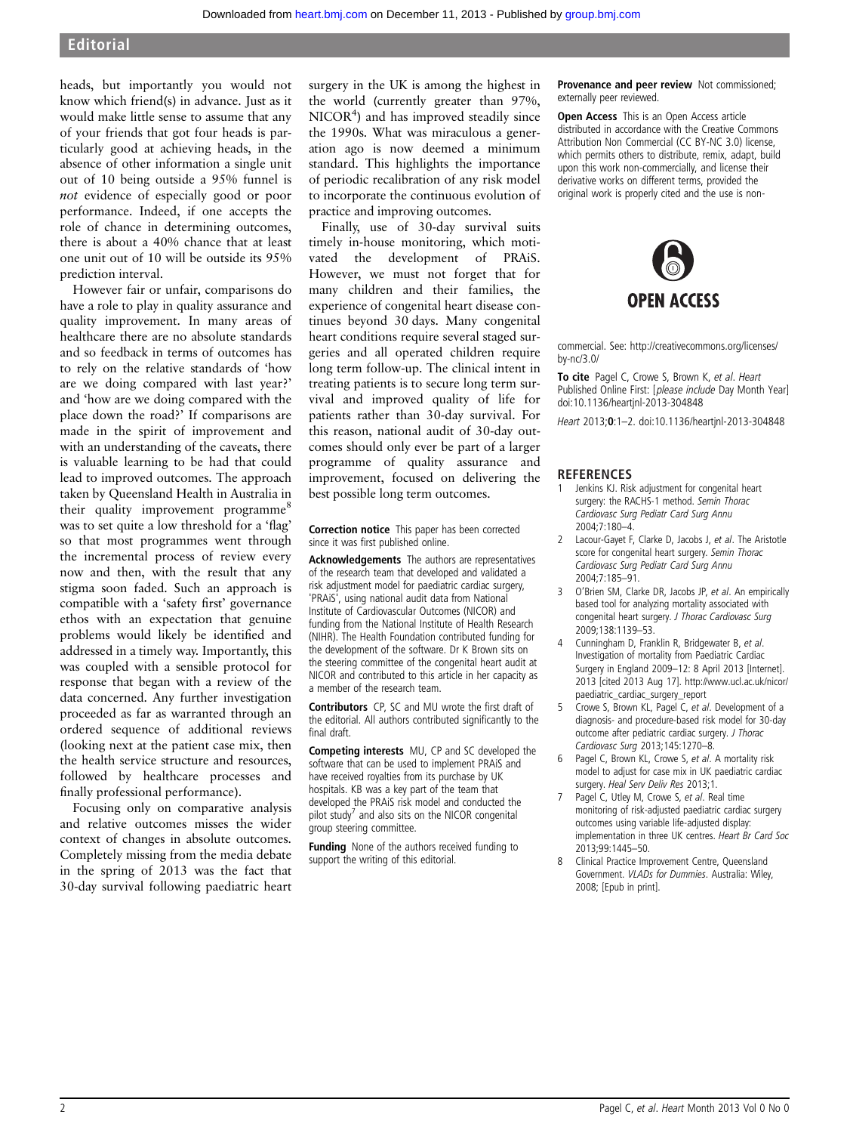heads, but importantly you would not know which friend(s) in advance. Just as it would make little sense to assume that any of your friends that got four heads is particularly good at achieving heads, in the absence of other information a single unit out of 10 being outside a 95% funnel is not evidence of especially good or poor performance. Indeed, if one accepts the role of chance in determining outcomes, there is about a 40% chance that at least one unit out of 10 will be outside its 95% prediction interval.

However fair or unfair, comparisons do have a role to play in quality assurance and quality improvement. In many areas of healthcare there are no absolute standards and so feedback in terms of outcomes has to rely on the relative standards of 'how are we doing compared with last year?' and 'how are we doing compared with the place down the road?' If comparisons are made in the spirit of improvement and with an understanding of the caveats, there is valuable learning to be had that could lead to improved outcomes. The approach taken by Queensland Health in Australia in their quality improvement programme<sup>8</sup> was to set quite a low threshold for a 'flag' so that most programmes went through the incremental process of review every now and then, with the result that any stigma soon faded. Such an approach is compatible with a 'safety first' governance ethos with an expectation that genuine problems would likely be identified and addressed in a timely way. Importantly, this was coupled with a sensible protocol for response that began with a review of the data concerned. Any further investigation proceeded as far as warranted through an ordered sequence of additional reviews (looking next at the patient case mix, then the health service structure and resources, followed by healthcare processes and finally professional performance).

Focusing only on comparative analysis and relative outcomes misses the wider context of changes in absolute outcomes. Completely missing from the media debate in the spring of 2013 was the fact that 30-day survival following paediatric heart surgery in the UK is among the highest in the world (currently greater than 97%, NICOR<sup>4</sup>) and has improved steadily since the 1990s. What was miraculous a generation ago is now deemed a minimum standard. This highlights the importance of periodic recalibration of any risk model to incorporate the continuous evolution of practice and improving outcomes.

Finally, use of 30-day survival suits timely in-house monitoring, which motivated the development of PRAiS. However, we must not forget that for many children and their families, the experience of congenital heart disease continues beyond 30 days. Many congenital heart conditions require several staged surgeries and all operated children require long term follow-up. The clinical intent in treating patients is to secure long term survival and improved quality of life for patients rather than 30-day survival. For this reason, national audit of 30-day outcomes should only ever be part of a larger programme of quality assurance and improvement, focused on delivering the best possible long term outcomes.

Correction notice This paper has been corrected since it was first published online.

Acknowledgements The authors are representatives of the research team that developed and validated a risk adjustment model for paediatric cardiac surgery, 'PRAiS', using national audit data from National Institute of Cardiovascular Outcomes (NICOR) and funding from the National Institute of Health Research (NIHR). The Health Foundation contributed funding for the development of the software. Dr K Brown sits on the steering committee of the congenital heart audit at NICOR and contributed to this article in her capacity as a member of the research team.

Contributors CP, SC and MU wrote the first draft of the editorial. All authors contributed significantly to the final draft.

Competing interests MU, CP and SC developed the software that can be used to implement PRAiS and have received royalties from its purchase by UK hospitals. KB was a key part of the team that developed the PRAiS risk model and conducted the pilot study<sup>7</sup> and also sits on the NICOR congenital group steering committee.

Funding None of the authors received funding to support the writing of this editorial.

Provenance and peer review Not commissioned; externally peer reviewed.

**Open Access** This is an Open Access article distributed in accordance with the Creative Commons Attribution Non Commercial (CC BY-NC 3.0) license which permits others to distribute, remix, adapt, build upon this work non-commercially, and license their derivative works on different terms, provided the original work is properly cited and the use is non-



commercial. See: http://creativecommons.org/licenses/ by-nc/3.0/

To cite Pagel C, Crowe S, Brown K, et al. Heart Published Online First: [please include Day Month Year] doi:10.1136/heartjnl-2013-304848

Heart 2013;0:1–2. doi:10.1136/heartjnl-2013-304848

## **REFERENCES**

- 1 Jenkins KJ. Risk adjustment for congenital heart surgery: the RACHS-1 method. Semin Thorac Cardiovasc Surg Pediatr Card Surg Annu 2004;7:180–4.
- 2 Lacour-Gayet F, Clarke D, Jacobs J, et al. The Aristotle score for congenital heart surgery. Semin Thorac Cardiovasc Surg Pediatr Card Surg Annu 2004;7:185–91.
- 3 O'Brien SM, Clarke DR, Jacobs JP, et al. An empirically based tool for analyzing mortality associated with congenital heart surgery. J Thorac Cardiovasc Surg 2009;138:1139–53.
- 4 Cunningham D, Franklin R, Bridgewater B, et al. Investigation of mortality from Paediatric Cardiac Surgery in England 2009–12: 8 April 2013 [Internet]. 2013 [cited 2013 Aug 17]. [http://www.ucl.ac.uk/nicor/](http://www.ucl.ac.uk/nicor/paediatric_cardiac_surgery_report) [paediatric\\_cardiac\\_surgery\\_report](http://www.ucl.ac.uk/nicor/paediatric_cardiac_surgery_report)
- 5 Crowe S, Brown KL, Pagel C, et al. Development of a diagnosis- and procedure-based risk model for 30-day outcome after pediatric cardiac surgery. J Thorac Cardiovasc Surg 2013;145:1270–8.
- 6 Pagel C, Brown KL, Crowe S, et al. A mortality risk model to adjust for case mix in UK paediatric cardiac surgery. Heal Serv Deliv Res 2013;1.
- Pagel C, Utley M, Crowe S, et al. Real time monitoring of risk-adjusted paediatric cardiac surgery outcomes using variable life-adjusted display: implementation in three UK centres. Heart Br Card Soc 2013;99:1445–50.
- 8 Clinical Practice Improvement Centre, Queensland Government. VLADs for Dummies. Australia: Wiley, 2008; [Epub in print].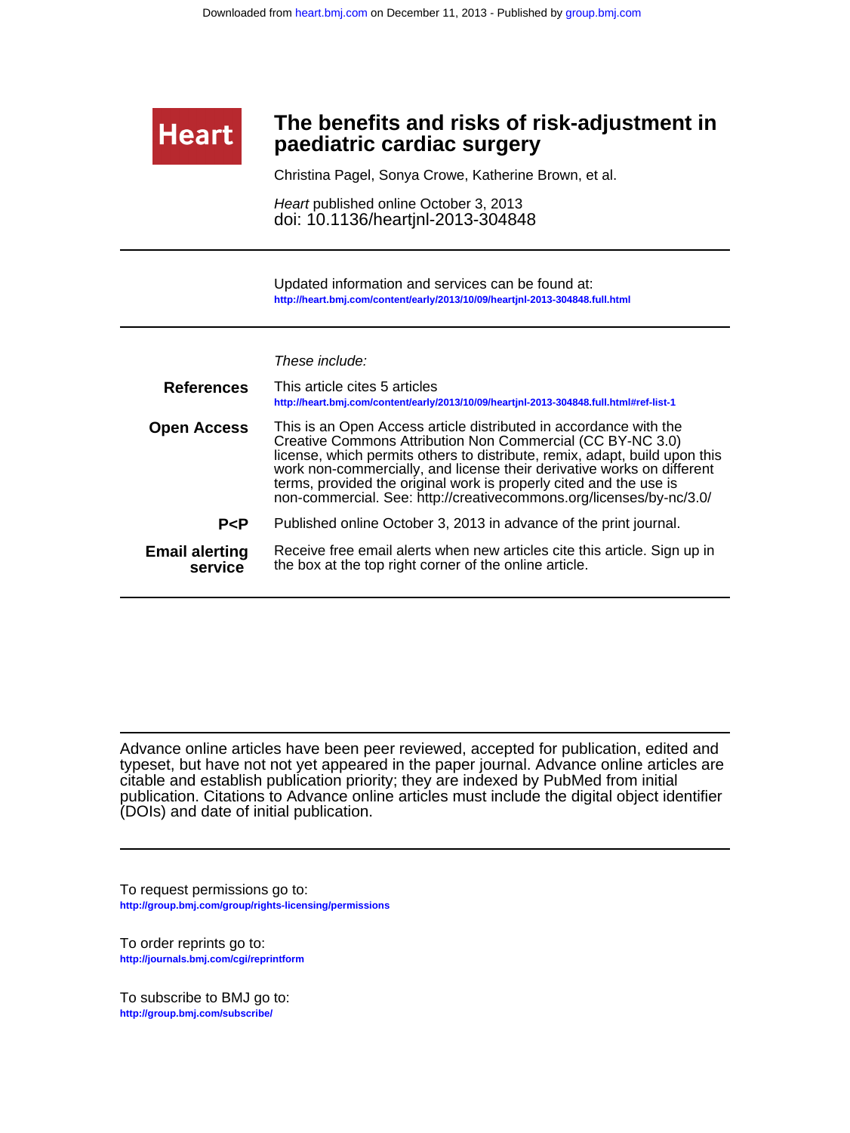

## **paediatric cardiac surgery The benefits and risks of risk-adjustment in**

Christina Pagel, Sonya Crowe, Katherine Brown, et al.

doi: 10.1136/heartjnl-2013-304848 Heart published online October 3, 2013

**<http://heart.bmj.com/content/early/2013/10/09/heartjnl-2013-304848.full.html>** Updated information and services can be found at:

These include:

**References <http://heart.bmj.com/content/early/2013/10/09/heartjnl-2013-304848.full.html#ref-list-1>** This article cites 5 articles **Open Access** non-commercial. See: http://creativecommons.org/licenses/by-nc/3.0/ terms, provided the original work is properly cited and the use is work non-commercially, and license their derivative works on different license, which permits others to distribute, remix, adapt, build upon this Creative Commons Attribution Non Commercial (CC BY-NC 3.0) This is an Open Access article distributed in accordance with the **P<P** Published online October 3, 2013 in advance of the print journal. **service Email alerting** Receive free email alerts when new articles cite the service the box at the top right corner of the online article. Receive free email alerts when new articles cite this article. Sign up in

(DOIs) and date of initial publication. publication. Citations to Advance online articles must include the digital object identifier citable and establish publication priority; they are indexed by PubMed from initial typeset, but have not not yet appeared in the paper journal. Advance online articles are Advance online [articles have been peer revie](http://journals.bmj.com/cgi/reprintform)wed, accepted for publication, edited and

**<http://group.bmj.com/group/rights-licensing/permissions>** To request permissions go to:

**<http://journals.bmj.com/cgi/reprintform>** To order reprints go to:

**<http://group.bmj.com/subscribe/>** To subscribe to BMJ go to: